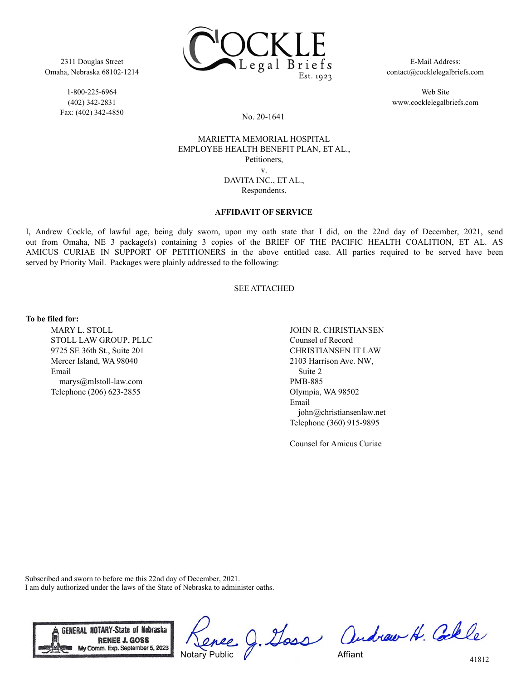2311 Douglas Street Omaha, Nebraska 68102-1214

> 1-800-225-6964 (402) 342-2831 Fax: (402) 342-4850



E-Mail Address: contact@cocklelegalbriefs.com

Web Site www.cocklelegalbriefs.com

No. 20-1641

### MARIETTA MEMORIAL HOSPITAL EMPLOYEE HEALTH BENEFIT PLAN, ET AL., Petitioners, v. DAVITA INC., ET AL., Respondents.

#### **AFFIDAVIT OF SERVICE**

I, Andrew Cockle, of lawful age, being duly sworn, upon my oath state that I did, on the 22nd day of December, 2021, send out from Omaha, NE 3 package(s) containing 3 copies of the BRIEF OF THE PACIFIC HEALTH COALITION, ET AL. AS AMICUS CURIAE IN SUPPORT OF PETITIONERS in the above entitled case. All parties required to be served have been served by Priority Mail. Packages were plainly addressed to the following:

### SEE ATTACHED

**To be filed for:**

MARY L. STOLL STOLL LAW GROUP, PLLC 9725 SE 36th St., Suite 201 Mercer Island, WA 98040 Email marys@mlstoll-law.com Telephone (206) 623-2855

JOHN R. CHRISTIANSEN Counsel of Record CHRISTIANSEN IT LAW 2103 Harrison Ave. NW, Suite 2 PMB-885 Olympia, WA 98502 Email john@christiansenlaw.net Telephone (360) 915-9895

Counsel for Amicus Curiae

Subscribed and sworn to before me this 22nd day of December, 2021. I am duly authorized under the laws of the State of Nebraska to administer oaths.



Doss Notary Public

andrew H. Colle